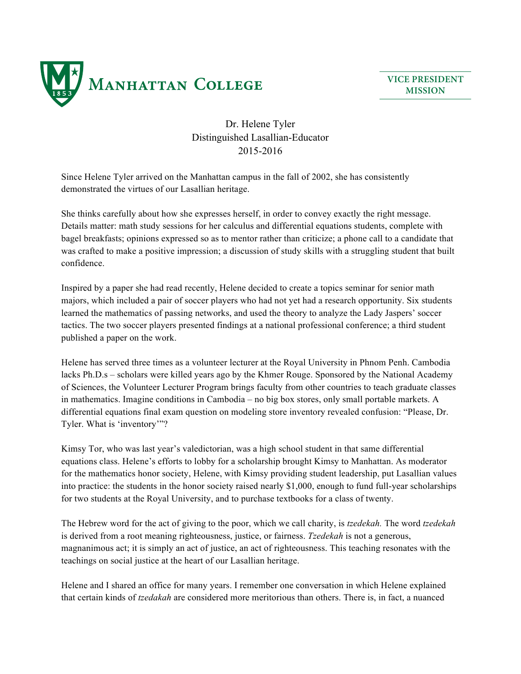

**VICE PRESIDENT MISSION**

## Dr. Helene Tyler Distinguished Lasallian-Educator 2015-2016

Since Helene Tyler arrived on the Manhattan campus in the fall of 2002, she has consistently demonstrated the virtues of our Lasallian heritage.

She thinks carefully about how she expresses herself, in order to convey exactly the right message. Details matter: math study sessions for her calculus and differential equations students, complete with bagel breakfasts; opinions expressed so as to mentor rather than criticize; a phone call to a candidate that was crafted to make a positive impression; a discussion of study skills with a struggling student that built confidence.

Inspired by a paper she had read recently, Helene decided to create a topics seminar for senior math majors, which included a pair of soccer players who had not yet had a research opportunity. Six students learned the mathematics of passing networks, and used the theory to analyze the Lady Jaspers' soccer tactics. The two soccer players presented findings at a national professional conference; a third student published a paper on the work.

Helene has served three times as a volunteer lecturer at the Royal University in Phnom Penh. Cambodia lacks Ph.D.s – scholars were killed years ago by the Khmer Rouge. Sponsored by the National Academy of Sciences, the Volunteer Lecturer Program brings faculty from other countries to teach graduate classes in mathematics. Imagine conditions in Cambodia – no big box stores, only small portable markets. A differential equations final exam question on modeling store inventory revealed confusion: "Please, Dr. Tyler. What is 'inventory'"?

Kimsy Tor, who was last year's valedictorian, was a high school student in that same differential equations class. Helene's efforts to lobby for a scholarship brought Kimsy to Manhattan. As moderator for the mathematics honor society, Helene, with Kimsy providing student leadership, put Lasallian values into practice: the students in the honor society raised nearly \$1,000, enough to fund full-year scholarships for two students at the Royal University, and to purchase textbooks for a class of twenty.

The Hebrew word for the act of giving to the poor, which we call charity, is *tzedekah.* The word *tzedekah* is derived from a root meaning righteousness, justice, or fairness. *Tzedekah* is not a generous, magnanimous act; it is simply an act of justice, an act of righteousness. This teaching resonates with the teachings on social justice at the heart of our Lasallian heritage.

Helene and I shared an office for many years. I remember one conversation in which Helene explained that certain kinds of *tzedakah* are considered more meritorious than others. There is, in fact, a nuanced